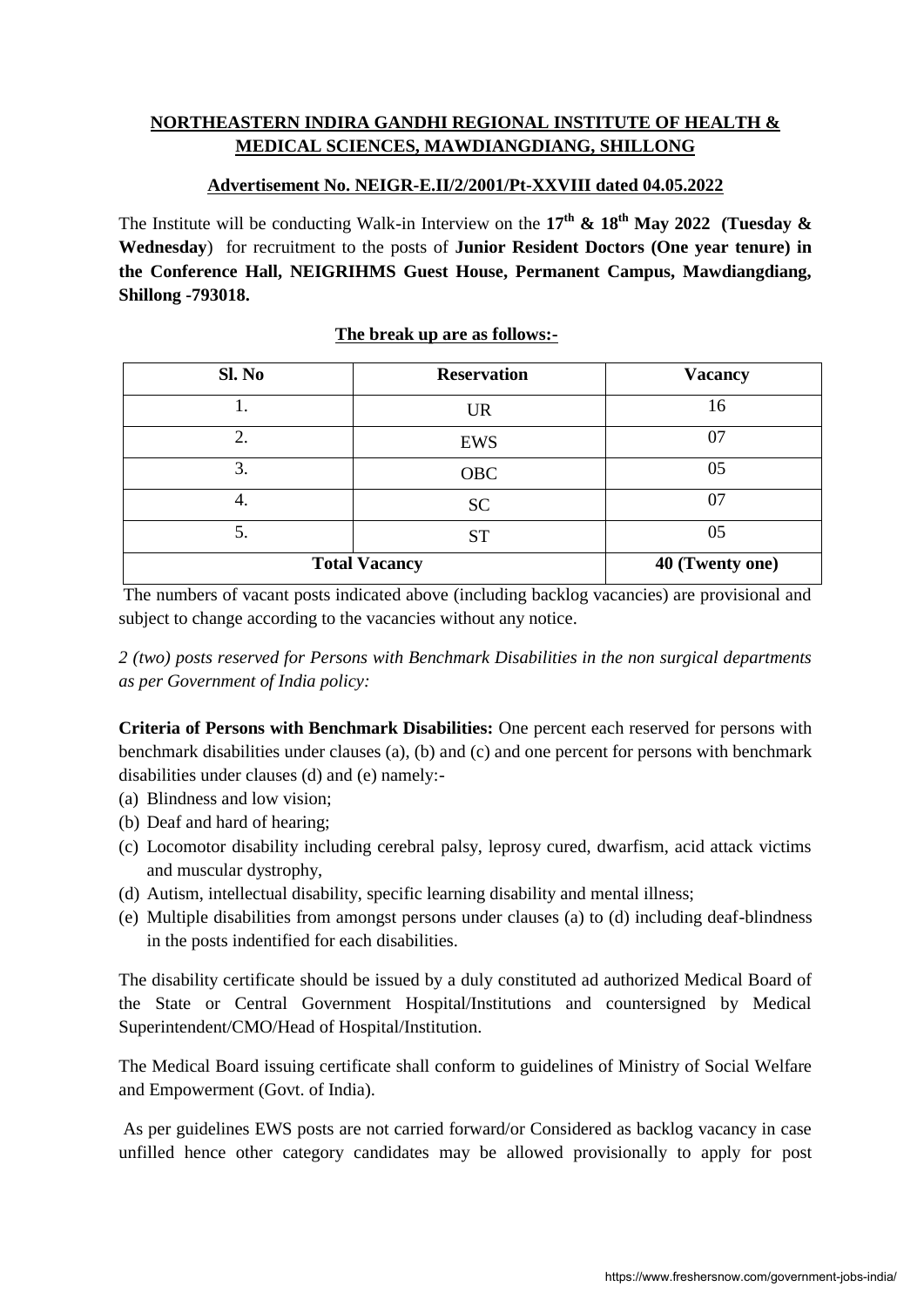# **NORTHEASTERN INDIRA GANDHI REGIONAL INSTITUTE OF HEALTH & MEDICAL SCIENCES, MAWDIANGDIANG, SHILLONG**

### **Advertisement No. NEIGR-E.II/2/2001/Pt-XXVIII dated 04.05.2022**

The Institute will be conducting Walk-in Interview on the **17th & 18th May 2022 (Tuesday & Wednesday**) for recruitment to the posts of **Junior Resident Doctors (One year tenure) in the Conference Hall, NEIGRIHMS Guest House, Permanent Campus, Mawdiangdiang, Shillong -793018.** 

|  |  | The break up are as follows:- |
|--|--|-------------------------------|
|  |  |                               |

| Sl. No               | <b>Reservation</b> | <b>Vacancy</b> |
|----------------------|--------------------|----------------|
|                      | <b>UR</b>          | 16             |
| ∍                    | <b>EWS</b>         | 07             |
| 3.                   | <b>OBC</b>         | 05             |
| -4.                  | <b>SC</b>          | 07             |
| 5.                   | <b>ST</b>          | 05             |
| <b>Total Vacancy</b> | 40 (Twenty one)    |                |

The numbers of vacant posts indicated above (including backlog vacancies) are provisional and subject to change according to the vacancies without any notice.

*2 (two) posts reserved for Persons with Benchmark Disabilities in the non surgical departments as per Government of India policy:*

**Criteria of Persons with Benchmark Disabilities:** One percent each reserved for persons with benchmark disabilities under clauses (a), (b) and (c) and one percent for persons with benchmark disabilities under clauses (d) and (e) namely:-

- (a) Blindness and low vision;
- (b) Deaf and hard of hearing;
- (c) Locomotor disability including cerebral palsy, leprosy cured, dwarfism, acid attack victims and muscular dystrophy,
- (d) Autism, intellectual disability, specific learning disability and mental illness;
- (e) Multiple disabilities from amongst persons under clauses (a) to (d) including deaf-blindness in the posts indentified for each disabilities.

The disability certificate should be issued by a duly constituted ad authorized Medical Board of the State or Central Government Hospital/Institutions and countersigned by Medical Superintendent/CMO/Head of Hospital/Institution.

The Medical Board issuing certificate shall conform to guidelines of Ministry of Social Welfare and Empowerment (Govt. of India).

As per guidelines EWS posts are not carried forward/or Considered as backlog vacancy in case unfilled hence other category candidates may be allowed provisionally to apply for post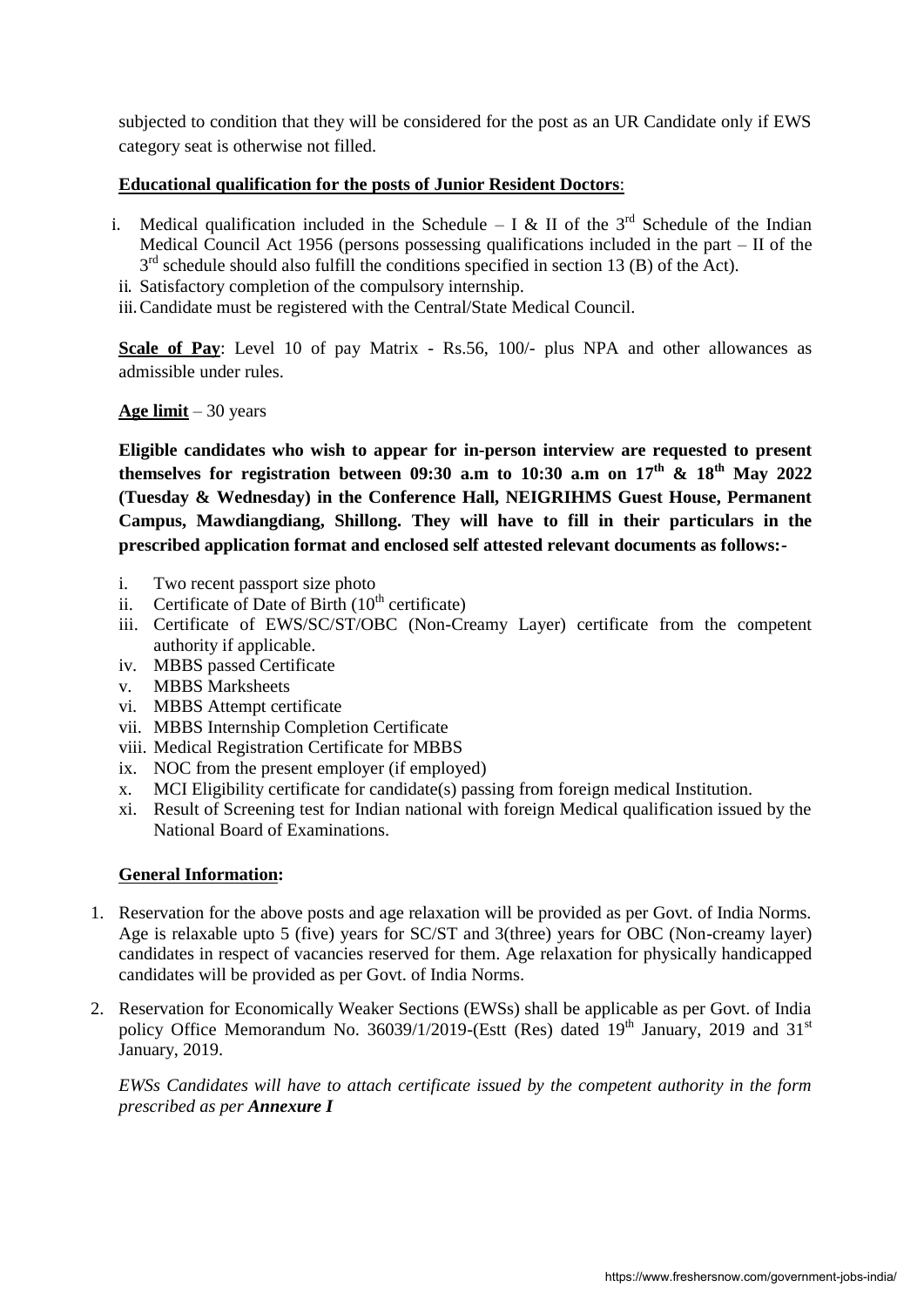subjected to condition that they will be considered for the post as an UR Candidate only if EWS category seat is otherwise not filled.

#### **Educational qualification for the posts of Junior Resident Doctors**:

- i. Medical qualification included in the Schedule I & II of the  $3<sup>rd</sup>$  Schedule of the Indian Medical Council Act 1956 (persons possessing qualifications included in the part – II of the 3<sup>rd</sup> schedule should also fulfill the conditions specified in section 13 (B) of the Act).
- ii. Satisfactory completion of the compulsory internship.

iii.Candidate must be registered with the Central/State Medical Council.

**Scale of Pay**: Level 10 of pay Matrix - Rs.56, 100/- plus NPA and other allowances as admissible under rules.

## **Age limit** – 30 years

**Eligible candidates who wish to appear for in-person interview are requested to present themselves for registration between 09:30 a.m to 10:30 a.m on 17 th & 18 th May 2022 (Tuesday & Wednesday) in the Conference Hall, NEIGRIHMS Guest House, Permanent Campus, Mawdiangdiang, Shillong. They will have to fill in their particulars in the prescribed application format and enclosed self attested relevant documents as follows:-**

- i. Two recent passport size photo
- ii. Certificate of Date of Birth  $(10<sup>th</sup>$  certificate)
- iii. Certificate of EWS/SC/ST/OBC (Non-Creamy Layer) certificate from the competent authority if applicable.
- iv. MBBS passed Certificate
- v. MBBS Marksheets
- vi. MBBS Attempt certificate
- vii. MBBS Internship Completion Certificate
- viii. Medical Registration Certificate for MBBS
- ix. NOC from the present employer (if employed)
- x. MCI Eligibility certificate for candidate(s) passing from foreign medical Institution.
- xi. Result of Screening test for Indian national with foreign Medical qualification issued by the National Board of Examinations.

#### **General Information:**

- 1. Reservation for the above posts and age relaxation will be provided as per Govt. of India Norms. Age is relaxable upto 5 (five) years for SC/ST and 3(three) years for OBC (Non-creamy layer) candidates in respect of vacancies reserved for them. Age relaxation for physically handicapped candidates will be provided as per Govt. of India Norms.
- 2. Reservation for Economically Weaker Sections (EWSs) shall be applicable as per Govt. of India policy Office Memorandum No. 36039/1/2019-(Estt (Res) dated  $19<sup>th</sup>$  January, 2019 and 31<sup>st</sup> January, 2019.

*EWSs Candidates will have to attach certificate issued by the competent authority in the form prescribed as per Annexure I*